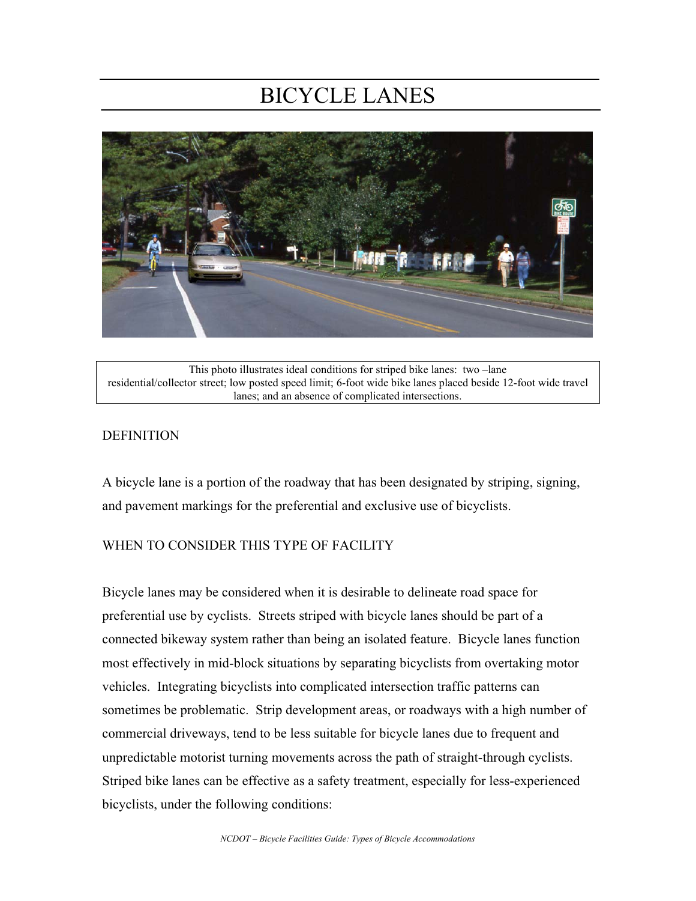# BICYCLE LANES



This photo illustrates ideal conditions for striped bike lanes: two –lane residential/collector street; low posted speed limit; 6-foot wide bike lanes placed beside 12-foot wide travel lanes; and an absence of complicated intersections.

#### DEFINITION

A bicycle lane is a portion of the roadway that has been designated by striping, signing, and pavement markings for the preferential and exclusive use of bicyclists.

#### WHEN TO CONSIDER THIS TYPE OF FACILITY

Bicycle lanes may be considered when it is desirable to delineate road space for preferential use by cyclists. Streets striped with bicycle lanes should be part of a connected bikeway system rather than being an isolated feature. Bicycle lanes function most effectively in mid-block situations by separating bicyclists from overtaking motor vehicles. Integrating bicyclists into complicated intersection traffic patterns can sometimes be problematic. Strip development areas, or roadways with a high number of commercial driveways, tend to be less suitable for bicycle lanes due to frequent and unpredictable motorist turning movements across the path of straight-through cyclists. Striped bike lanes can be effective as a safety treatment, especially for less-experienced bicyclists, under the following conditions: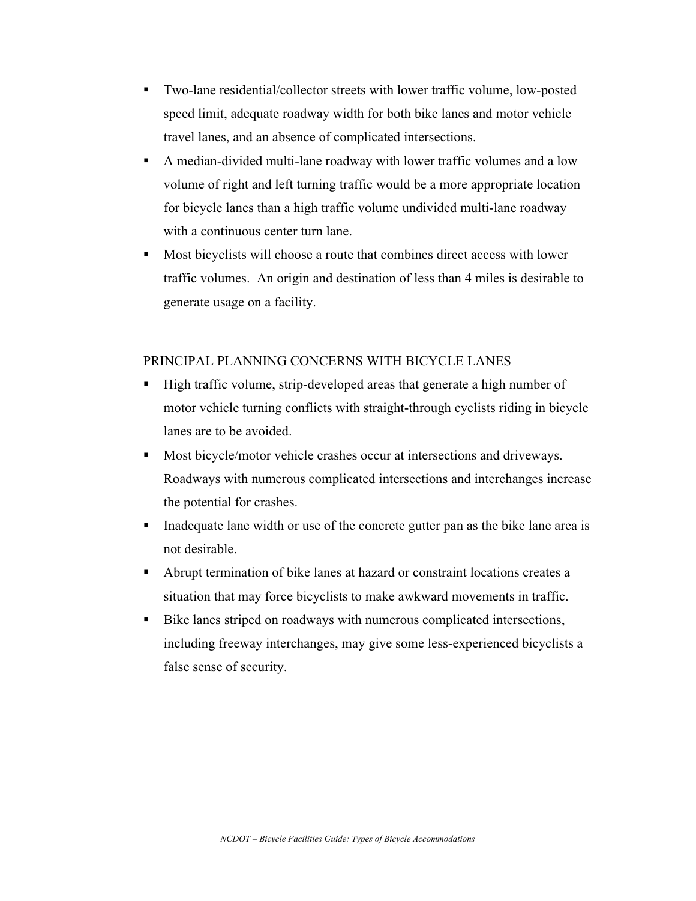- Two-lane residential/collector streets with lower traffic volume, low-posted speed limit, adequate roadway width for both bike lanes and motor vehicle travel lanes, and an absence of complicated intersections.
- A median-divided multi-lane roadway with lower traffic volumes and a low volume of right and left turning traffic would be a more appropriate location for bicycle lanes than a high traffic volume undivided multi-lane roadway with a continuous center turn lane.
- Most bicyclists will choose a route that combines direct access with lower traffic volumes. An origin and destination of less than 4 miles is desirable to generate usage on a facility.

#### PRINCIPAL PLANNING CONCERNS WITH BICYCLE LANES

- High traffic volume, strip-developed areas that generate a high number of motor vehicle turning conflicts with straight-through cyclists riding in bicycle lanes are to be avoided.
- Most bicycle/motor vehicle crashes occur at intersections and driveways. Roadways with numerous complicated intersections and interchanges increase the potential for crashes.
- Inadequate lane width or use of the concrete gutter pan as the bike lane area is not desirable.
- Abrupt termination of bike lanes at hazard or constraint locations creates a situation that may force bicyclists to make awkward movements in traffic.
- Bike lanes striped on roadways with numerous complicated intersections, including freeway interchanges, may give some less-experienced bicyclists a false sense of security.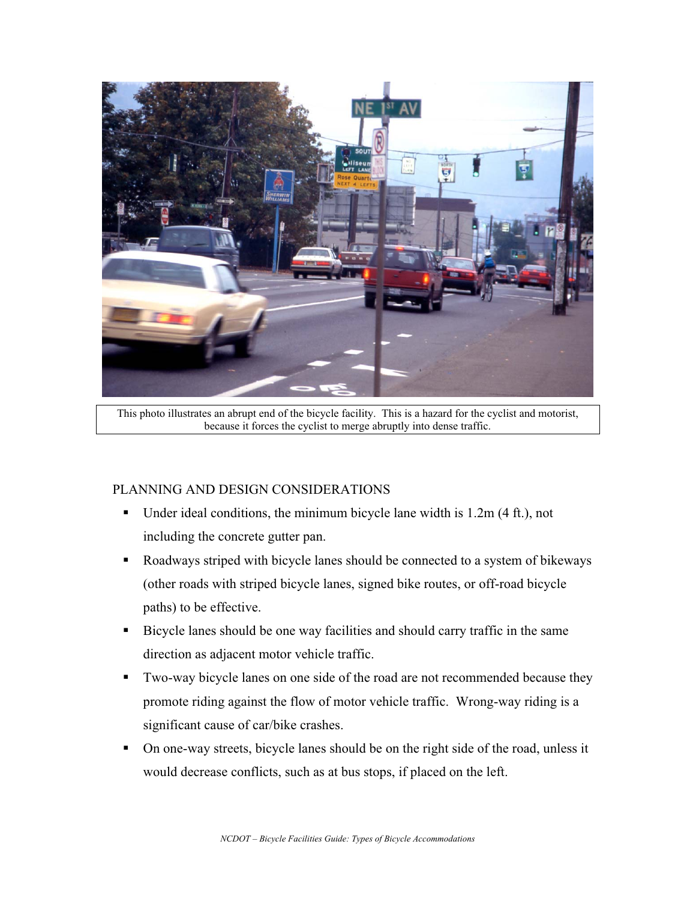

This photo illustrates an abrupt end of the bicycle facility. This is a hazard for the cyclist and motorist, because it forces the cyclist to merge abruptly into dense traffic.

### PLANNING AND DESIGN CONSIDERATIONS

- Under ideal conditions, the minimum bicycle lane width is  $1.2m$  (4 ft.), not including the concrete gutter pan.
- Roadways striped with bicycle lanes should be connected to a system of bikeways (other roads with striped bicycle lanes, signed bike routes, or off-road bicycle paths) to be effective.
- Bicycle lanes should be one way facilities and should carry traffic in the same direction as adjacent motor vehicle traffic.
- Two-way bicycle lanes on one side of the road are not recommended because they promote riding against the flow of motor vehicle traffic. Wrong-way riding is a significant cause of car/bike crashes.
- On one-way streets, bicycle lanes should be on the right side of the road, unless it would decrease conflicts, such as at bus stops, if placed on the left.